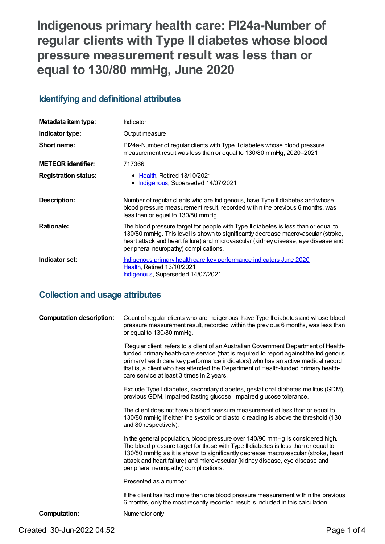# **Indigenous primary health care: PI24a-Number of regular clients with Type II diabetes whose blood pressure measurement result was less than or equal to 130/80 mmHg, June 2020**

## **Identifying and definitional attributes**

| Metadata item type:         | Indicator                                                                                                                                                                                                                                                                                               |
|-----------------------------|---------------------------------------------------------------------------------------------------------------------------------------------------------------------------------------------------------------------------------------------------------------------------------------------------------|
| Indicator type:             | Output measure                                                                                                                                                                                                                                                                                          |
| Short name:                 | PI24a-Number of regular clients with Type II diabetes whose blood pressure<br>measurement result was less than or equal to 130/80 mmHg, 2020-2021                                                                                                                                                       |
| <b>METEOR identifier:</b>   | 717366                                                                                                                                                                                                                                                                                                  |
| <b>Registration status:</b> | • Health, Retired 13/10/2021<br>Indigenous, Superseded 14/07/2021<br>$\bullet$                                                                                                                                                                                                                          |
| <b>Description:</b>         | Number of regular clients who are Indigenous, have Type II diabetes and whose<br>blood pressure measurement result, recorded within the previous 6 months, was<br>less than or equal to 130/80 mmHg.                                                                                                    |
| <b>Rationale:</b>           | The blood pressure target for people with Type II diabetes is less than or equal to<br>130/80 mmHg. This level is shown to significantly decrease macrovascular (stroke,<br>heart attack and heart failure) and microvascular (kidney disease, eye disease and<br>peripheral neuropathy) complications. |
| Indicator set:              | Indigenous primary health care key performance indicators June 2020<br><b>Health, Retired 13/10/2021</b><br><b>Indigenous, Superseded 14/07/2021</b>                                                                                                                                                    |

## **Collection and usage attributes**

| <b>Computation description:</b> | Count of regular clients who are Indigenous, have Type II diabetes and whose blood<br>pressure measurement result, recorded within the previous 6 months, was less than<br>or equal to 130/80 mmHg.                                                                                                                                                                                                    |
|---------------------------------|--------------------------------------------------------------------------------------------------------------------------------------------------------------------------------------------------------------------------------------------------------------------------------------------------------------------------------------------------------------------------------------------------------|
|                                 | 'Regular client' refers to a client of an Australian Government Department of Health-<br>funded primary health-care service (that is required to report against the Indigenous<br>primary health care key performance indicators) who has an active medical record;<br>that is, a client who has attended the Department of Health-funded primary health-<br>care service at least 3 times in 2 years. |
|                                 | Exclude Type I diabetes, secondary diabetes, gestational diabetes mellitus (GDM),<br>previous GDM, impaired fasting glucose, impaired glucose tolerance.                                                                                                                                                                                                                                               |
|                                 | The client does not have a blood pressure measurement of less than or equal to<br>130/80 mmHg if either the systolic or diastolic reading is above the threshold (130<br>and 80 respectively).                                                                                                                                                                                                         |
|                                 | In the general population, blood pressure over 140/90 mmHg is considered high.<br>The blood pressure target for those with Type II diabetes is less than or equal to<br>130/80 mmHg as it is shown to significantly decrease macrovascular (stroke, heart<br>attack and heart failure) and microvascular (kidney disease, eye disease and<br>peripheral neuropathy) complications.                     |
|                                 | Presented as a number.                                                                                                                                                                                                                                                                                                                                                                                 |
|                                 | If the client has had more than one blood pressure measurement within the previous<br>6 months, only the most recently recorded result is included in this calculation.                                                                                                                                                                                                                                |
| <b>Computation:</b>             | Numerator only                                                                                                                                                                                                                                                                                                                                                                                         |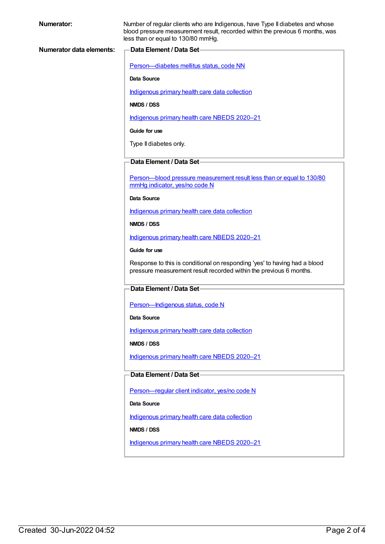| <b>Numerator:</b>               | Number of regular clients who are Indigenous, have Type II diabetes and whose<br>blood pressure measurement result, recorded within the previous 6 months, was<br>less than or equal to 130/80 mmHg. |
|---------------------------------|------------------------------------------------------------------------------------------------------------------------------------------------------------------------------------------------------|
| <b>Numerator data elements:</b> | Data Element / Data Set-                                                                                                                                                                             |
|                                 | Person-diabetes mellitus status, code NN                                                                                                                                                             |
|                                 | Data Source                                                                                                                                                                                          |
|                                 | Indigenous primary health care data collection                                                                                                                                                       |
|                                 | NMDS / DSS                                                                                                                                                                                           |
|                                 | Indigenous primary health care NBEDS 2020-21                                                                                                                                                         |
|                                 | Guide for use                                                                                                                                                                                        |
|                                 | Type II diabetes only.                                                                                                                                                                               |
|                                 | Data Element / Data Set-                                                                                                                                                                             |
|                                 | Person-blood pressure measurement result less than or equal to 130/80<br>mmHg indicator, yes/no code N                                                                                               |
|                                 | <b>Data Source</b>                                                                                                                                                                                   |
|                                 | Indigenous primary health care data collection                                                                                                                                                       |
|                                 | NMDS / DSS                                                                                                                                                                                           |
|                                 | Indigenous primary health care NBEDS 2020-21                                                                                                                                                         |
|                                 | Guide for use                                                                                                                                                                                        |
|                                 | Response to this is conditional on responding 'yes' to having had a blood<br>pressure measurement result recorded within the previous 6 months.                                                      |
|                                 | Data Element / Data Set                                                                                                                                                                              |
|                                 | Person-Indigenous status, code N                                                                                                                                                                     |
|                                 | Data Source                                                                                                                                                                                          |
|                                 | Indigenous primary health care data collection                                                                                                                                                       |
|                                 | NMDS / DSS                                                                                                                                                                                           |
|                                 | Indigenous primary health care NBEDS 2020-21                                                                                                                                                         |
|                                 | Data Element / Data Set-                                                                                                                                                                             |
|                                 | Person-regular client indicator, yes/no code N                                                                                                                                                       |
|                                 | Data Source                                                                                                                                                                                          |
|                                 | Indigenous primary health care data collection                                                                                                                                                       |
|                                 | NMDS / DSS                                                                                                                                                                                           |
|                                 | Indigenous primary health care NBEDS 2020-21                                                                                                                                                         |
|                                 |                                                                                                                                                                                                      |
|                                 |                                                                                                                                                                                                      |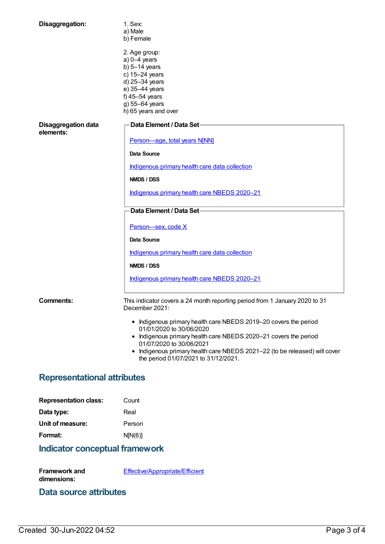| Disaggregation:                         | 1. Sex:<br>a) Male<br>b) Female                                                                                                                                                                                                                                            |  |
|-----------------------------------------|----------------------------------------------------------------------------------------------------------------------------------------------------------------------------------------------------------------------------------------------------------------------------|--|
|                                         | 2. Age group:<br>$a) 0-4$ years<br>b) $5-14$ years<br>c) 15-24 years<br>d) 25-34 years<br>e) 35-44 years<br>f) 45-54 years<br>g) 55-64 years<br>h) 65 years and over                                                                                                       |  |
| <b>Disaggregation data</b><br>elements: | Data Element / Data Set-                                                                                                                                                                                                                                                   |  |
|                                         | Person-age, total years N[NN]                                                                                                                                                                                                                                              |  |
|                                         | <b>Data Source</b>                                                                                                                                                                                                                                                         |  |
|                                         | Indigenous primary health care data collection                                                                                                                                                                                                                             |  |
|                                         | NMDS / DSS                                                                                                                                                                                                                                                                 |  |
|                                         | Indigenous primary health care NBEDS 2020-21                                                                                                                                                                                                                               |  |
|                                         | Data Element / Data Set-                                                                                                                                                                                                                                                   |  |
|                                         | Person-sex, code X                                                                                                                                                                                                                                                         |  |
|                                         | Data Source                                                                                                                                                                                                                                                                |  |
|                                         | Indigenous primary health care data collection                                                                                                                                                                                                                             |  |
|                                         | NMDS / DSS                                                                                                                                                                                                                                                                 |  |
|                                         | Indigenous primary health care NBEDS 2020-21                                                                                                                                                                                                                               |  |
| Comments:                               | This indicator covers a 24 month reporting period from 1 January 2020 to 31<br>December 2021:                                                                                                                                                                              |  |
|                                         | • Indigenous primary health care NBEDS 2019-20 covers the period<br>01/01/2020 to 30/06/2020<br>• Indigenous primary health care NBEDS 2020-21 covers the period<br>01/07/2020 to 30/06/2021<br>• Indigenous primary health care NBEDS 2021-22 (to be released) will cover |  |
|                                         | the period 01/07/2021 to 31/12/2021.                                                                                                                                                                                                                                       |  |
| <b>Representational attributes</b>      |                                                                                                                                                                                                                                                                            |  |
| <b>Representation class:</b>            | Count                                                                                                                                                                                                                                                                      |  |
| Data type:                              | Real                                                                                                                                                                                                                                                                       |  |
| Unit of measure:                        | Person                                                                                                                                                                                                                                                                     |  |
| Format:                                 | N[N(6)]                                                                                                                                                                                                                                                                    |  |

## **Indicator conceptual framework**

**Framework and dimensions:**

[Effective/Appropriate/Efficient](https://meteor.aihw.gov.au/content/410681)

#### **Data source attributes**